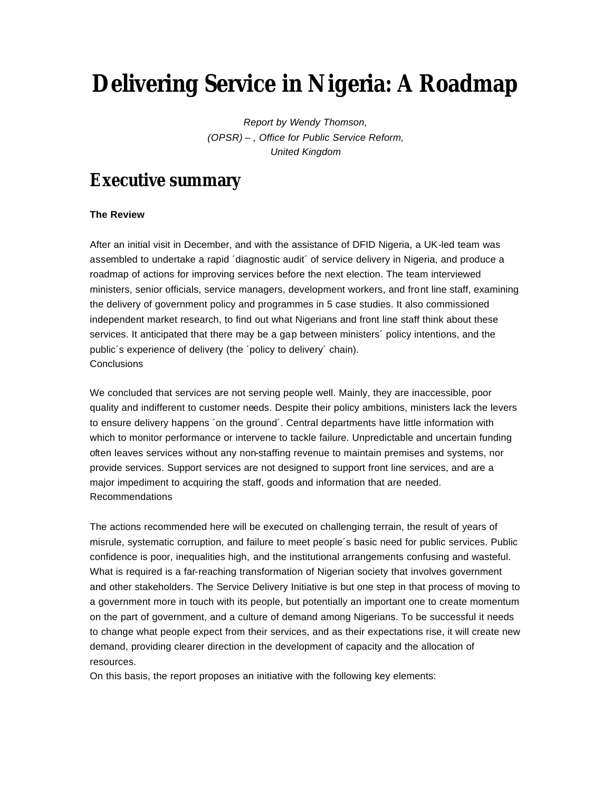# **Delivering Service in Nigeria: A Roadmap**

*Report by Wendy Thomson, (OPSR) – , Office for Public Service Reform, United Kingdom*

## **Executive summary**

### **The Review**

After an initial visit in December, and with the assistance of DFID Nigeria, a UK-led team was assembled to undertake a rapid ´diagnostic audit´ of service delivery in Nigeria, and produce a roadmap of actions for improving services before the next election. The team interviewed ministers, senior officials, service managers, development workers, and front line staff, examining the delivery of government policy and programmes in 5 case studies. It also commissioned independent market research, to find out what Nigerians and front line staff think about these services. It anticipated that there may be a gap between ministers´ policy intentions, and the public´s experience of delivery (the ´policy to delivery´ chain). **Conclusions** 

We concluded that services are not serving people well. Mainly, they are inaccessible, poor quality and indifferent to customer needs. Despite their policy ambitions, ministers lack the levers to ensure delivery happens ´on the ground´. Central departments have little information with which to monitor performance or intervene to tackle failure. Unpredictable and uncertain funding often leaves services without any non-staffing revenue to maintain premises and systems, nor provide services. Support services are not designed to support front line services, and are a major impediment to acquiring the staff, goods and information that are needed. Recommendations

The actions recommended here will be executed on challenging terrain, the result of years of misrule, systematic corruption, and failure to meet people´s basic need for public services. Public confidence is poor, inequalities high, and the institutional arrangements confusing and wasteful. What is required is a far-reaching transformation of Nigerian society that involves government and other stakeholders. The Service Delivery Initiative is but one step in that process of moving to a government more in touch with its people, but potentially an important one to create momentum on the part of government, and a culture of demand among Nigerians. To be successful it needs to change what people expect from their services, and as their expectations rise, it will create new demand, providing clearer direction in the development of capacity and the allocation of resources.

On this basis, the report proposes an initiative with the following key elements: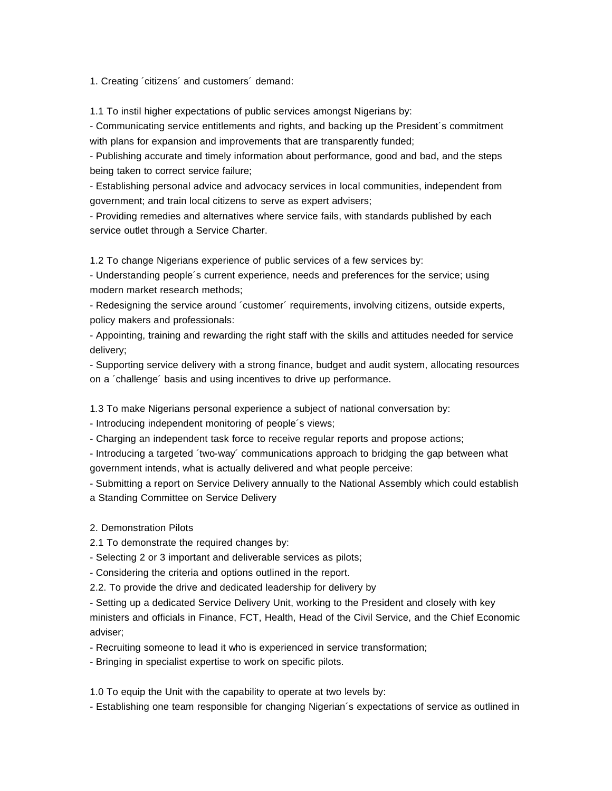1. Creating ´citizens´ and customers´ demand:

1.1 To instil higher expectations of public services amongst Nigerians by:

- Communicating service entitlements and rights, and backing up the President´s commitment with plans for expansion and improvements that are transparently funded;

- Publishing accurate and timely information about performance, good and bad, and the steps being taken to correct service failure;

- Establishing personal advice and advocacy services in local communities, independent from government; and train local citizens to serve as expert advisers;

- Providing remedies and alternatives where service fails, with standards published by each service outlet through a Service Charter.

1.2 To change Nigerians experience of public services of a few services by:

- Understanding people´s current experience, needs and preferences for the service; using modern market research methods;

- Redesigning the service around ´customer´ requirements, involving citizens, outside experts, policy makers and professionals:

- Appointing, training and rewarding the right staff with the skills and attitudes needed for service delivery;

- Supporting service delivery with a strong finance, budget and audit system, allocating resources on a ´challenge´ basis and using incentives to drive up performance.

1.3 To make Nigerians personal experience a subject of national conversation by:

- Introducing independent monitoring of people´s views;

- Charging an independent task force to receive regular reports and propose actions;

- Introducing a targeted ´two-way´ communications approach to bridging the gap between what government intends, what is actually delivered and what people perceive:

- Submitting a report on Service Delivery annually to the National Assembly which could establish a Standing Committee on Service Delivery

### 2. Demonstration Pilots

2.1 To demonstrate the required changes by:

- Selecting 2 or 3 important and deliverable services as pilots;

- Considering the criteria and options outlined in the report.

2.2. To provide the drive and dedicated leadership for delivery by

- Setting up a dedicated Service Delivery Unit, working to the President and closely with key ministers and officials in Finance, FCT, Health, Head of the Civil Service, and the Chief Economic adviser;

- Recruiting someone to lead it who is experienced in service transformation;

- Bringing in specialist expertise to work on specific pilots.

1.0 To equip the Unit with the capability to operate at two levels by:

- Establishing one team responsible for changing Nigerian´s expectations of service as outlined in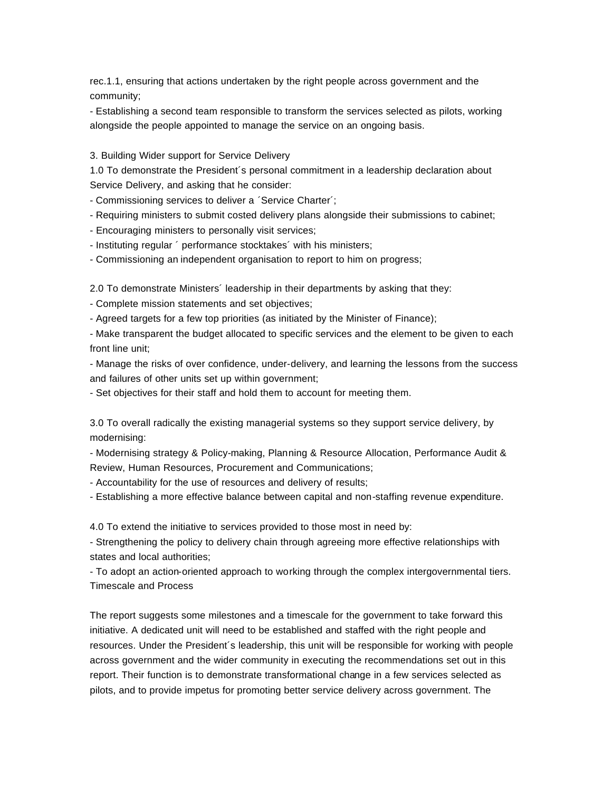rec.1.1, ensuring that actions undertaken by the right people across government and the community;

- Establishing a second team responsible to transform the services selected as pilots, working alongside the people appointed to manage the service on an ongoing basis.

3. Building Wider support for Service Delivery

1.0 To demonstrate the President´s personal commitment in a leadership declaration about Service Delivery, and asking that he consider:

- Commissioning services to deliver a ´Service Charter´;

- Requiring ministers to submit costed delivery plans alongside their submissions to cabinet;
- Encouraging ministers to personally visit services;
- Instituting regular ´ performance stocktakes´ with his ministers;
- Commissioning an independent organisation to report to him on progress;

2.0 To demonstrate Ministers´ leadership in their departments by asking that they:

- Complete mission statements and set objectives;

- Agreed targets for a few top priorities (as initiated by the Minister of Finance);

- Make transparent the budget allocated to specific services and the element to be given to each front line unit;

- Manage the risks of over confidence, under-delivery, and learning the lessons from the success and failures of other units set up within government;

- Set objectives for their staff and hold them to account for meeting them.

3.0 To overall radically the existing managerial systems so they support service delivery, by modernising:

- Modernising strategy & Policy-making, Planning & Resource Allocation, Performance Audit & Review, Human Resources, Procurement and Communications;

- Accountability for the use of resources and delivery of results;

- Establishing a more effective balance between capital and non-staffing revenue expenditure.

4.0 To extend the initiative to services provided to those most in need by:

- Strengthening the policy to delivery chain through agreeing more effective relationships with states and local authorities;

- To adopt an action-oriented approach to working through the complex intergovernmental tiers. Timescale and Process

The report suggests some milestones and a timescale for the government to take forward this initiative. A dedicated unit will need to be established and staffed with the right people and resources. Under the President´s leadership, this unit will be responsible for working with people across government and the wider community in executing the recommendations set out in this report. Their function is to demonstrate transformational change in a few services selected as pilots, and to provide impetus for promoting better service delivery across government. The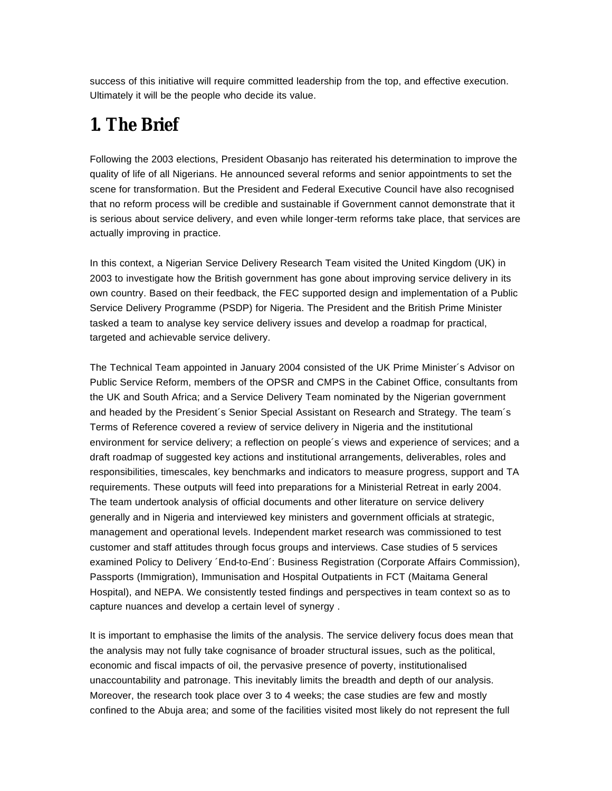success of this initiative will require committed leadership from the top, and effective execution. Ultimately it will be the people who decide its value.

## **1. The Brief**

Following the 2003 elections, President Obasanjo has reiterated his determination to improve the quality of life of all Nigerians. He announced several reforms and senior appointments to set the scene for transformation. But the President and Federal Executive Council have also recognised that no reform process will be credible and sustainable if Government cannot demonstrate that it is serious about service delivery, and even while longer-term reforms take place, that services are actually improving in practice.

In this context, a Nigerian Service Delivery Research Team visited the United Kingdom (UK) in 2003 to investigate how the British government has gone about improving service delivery in its own country. Based on their feedback, the FEC supported design and implementation of a Public Service Delivery Programme (PSDP) for Nigeria. The President and the British Prime Minister tasked a team to analyse key service delivery issues and develop a roadmap for practical, targeted and achievable service delivery.

The Technical Team appointed in January 2004 consisted of the UK Prime Minister´s Advisor on Public Service Reform, members of the OPSR and CMPS in the Cabinet Office, consultants from the UK and South Africa; and a Service Delivery Team nominated by the Nigerian government and headed by the President´s Senior Special Assistant on Research and Strategy. The team´s Terms of Reference covered a review of service delivery in Nigeria and the institutional environment for service delivery; a reflection on people´s views and experience of services; and a draft roadmap of suggested key actions and institutional arrangements, deliverables, roles and responsibilities, timescales, key benchmarks and indicators to measure progress, support and TA requirements. These outputs will feed into preparations for a Ministerial Retreat in early 2004. The team undertook analysis of official documents and other literature on service delivery generally and in Nigeria and interviewed key ministers and government officials at strategic, management and operational levels. Independent market research was commissioned to test customer and staff attitudes through focus groups and interviews. Case studies of 5 services examined Policy to Delivery ´End-to-End´: Business Registration (Corporate Affairs Commission), Passports (Immigration), Immunisation and Hospital Outpatients in FCT (Maitama General Hospital), and NEPA. We consistently tested findings and perspectives in team context so as to capture nuances and develop a certain level of synergy .

It is important to emphasise the limits of the analysis. The service delivery focus does mean that the analysis may not fully take cognisance of broader structural issues, such as the political, economic and fiscal impacts of oil, the pervasive presence of poverty, institutionalised unaccountability and patronage. This inevitably limits the breadth and depth of our analysis. Moreover, the research took place over 3 to 4 weeks; the case studies are few and mostly confined to the Abuja area; and some of the facilities visited most likely do not represent the full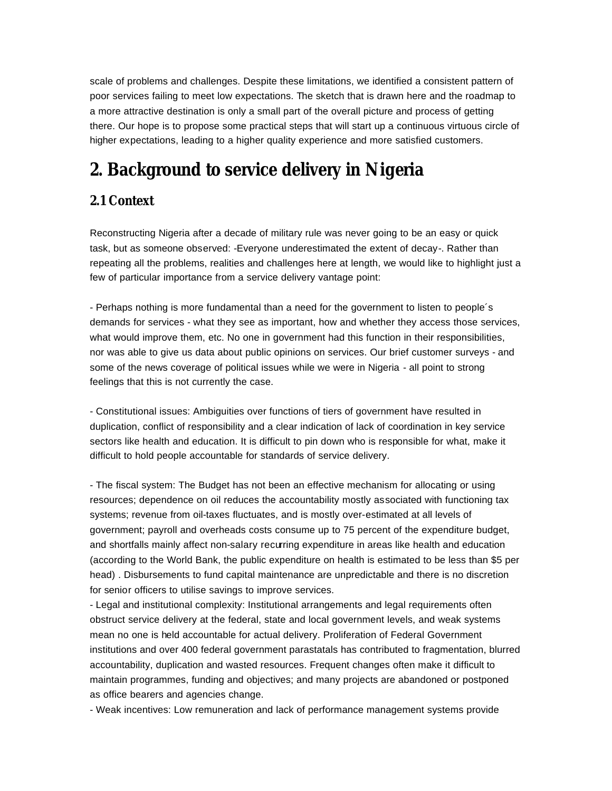scale of problems and challenges. Despite these limitations, we identified a consistent pattern of poor services failing to meet low expectations. The sketch that is drawn here and the roadmap to a more attractive destination is only a small part of the overall picture and process of getting there. Our hope is to propose some practical steps that will start up a continuous virtuous circle of higher expectations, leading to a higher quality experience and more satisfied customers.

## **2. Background to service delivery in Nigeria**

### **2.1 Context**

Reconstructing Nigeria after a decade of military rule was never going to be an easy or quick task, but as someone observed: -Everyone underestimated the extent of decay-. Rather than repeating all the problems, realities and challenges here at length, we would like to highlight just a few of particular importance from a service delivery vantage point:

- Perhaps nothing is more fundamental than a need for the government to listen to people´s demands for services - what they see as important, how and whether they access those services, what would improve them, etc. No one in government had this function in their responsibilities, nor was able to give us data about public opinions on services. Our brief customer surveys - and some of the news coverage of political issues while we were in Nigeria - all point to strong feelings that this is not currently the case.

- Constitutional issues: Ambiguities over functions of tiers of government have resulted in duplication, conflict of responsibility and a clear indication of lack of coordination in key service sectors like health and education. It is difficult to pin down who is responsible for what, make it difficult to hold people accountable for standards of service delivery.

- The fiscal system: The Budget has not been an effective mechanism for allocating or using resources; dependence on oil reduces the accountability mostly associated with functioning tax systems; revenue from oil-taxes fluctuates, and is mostly over-estimated at all levels of government; payroll and overheads costs consume up to 75 percent of the expenditure budget, and shortfalls mainly affect non-salary recurring expenditure in areas like health and education (according to the World Bank, the public expenditure on health is estimated to be less than \$5 per head) . Disbursements to fund capital maintenance are unpredictable and there is no discretion for senior officers to utilise savings to improve services.

- Legal and institutional complexity: Institutional arrangements and legal requirements often obstruct service delivery at the federal, state and local government levels, and weak systems mean no one is held accountable for actual delivery. Proliferation of Federal Government institutions and over 400 federal government parastatals has contributed to fragmentation, blurred accountability, duplication and wasted resources. Frequent changes often make it difficult to maintain programmes, funding and objectives; and many projects are abandoned or postponed as office bearers and agencies change.

- Weak incentives: Low remuneration and lack of performance management systems provide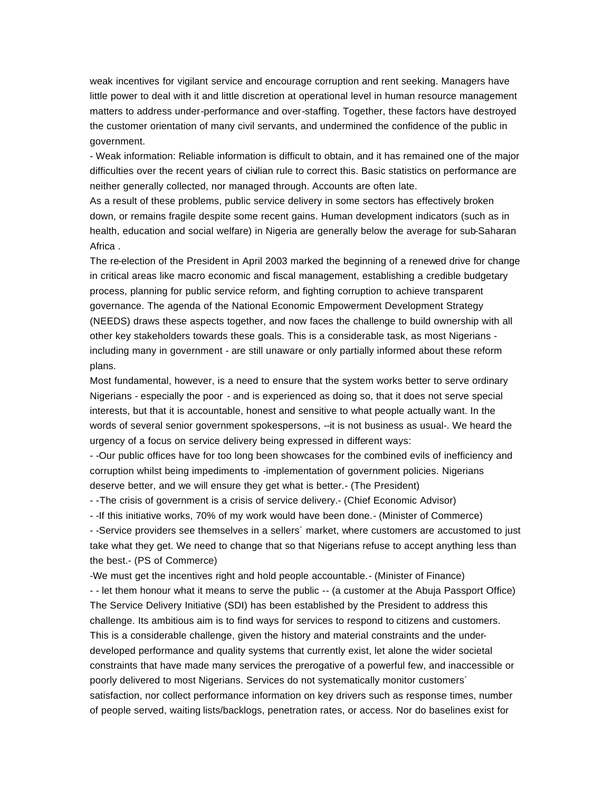weak incentives for vigilant service and encourage corruption and rent seeking. Managers have little power to deal with it and little discretion at operational level in human resource management matters to address under-performance and over-staffing. Together, these factors have destroyed the customer orientation of many civil servants, and undermined the confidence of the public in government.

- Weak information: Reliable information is difficult to obtain, and it has remained one of the major difficulties over the recent years of civilian rule to correct this. Basic statistics on performance are neither generally collected, nor managed through. Accounts are often late.

As a result of these problems, public service delivery in some sectors has effectively broken down, or remains fragile despite some recent gains. Human development indicators (such as in health, education and social welfare) in Nigeria are generally below the average for sub-Saharan Africa .

The re-election of the President in April 2003 marked the beginning of a renewed drive for change in critical areas like macro economic and fiscal management, establishing a credible budgetary process, planning for public service reform, and fighting corruption to achieve transparent governance. The agenda of the National Economic Empowerment Development Strategy (NEEDS) draws these aspects together, and now faces the challenge to build ownership with all other key stakeholders towards these goals. This is a considerable task, as most Nigerians including many in government - are still unaware or only partially informed about these reform plans.

Most fundamental, however, is a need to ensure that the system works better to serve ordinary Nigerians - especially the poor - and is experienced as doing so, that it does not serve special interests, but that it is accountable, honest and sensitive to what people actually want. In the words of several senior government spokespersons, --it is not business as usual-. We heard the urgency of a focus on service delivery being expressed in different ways:

- -Our public offices have for too long been showcases for the combined evils of inefficiency and corruption whilst being impediments to -implementation of government policies. Nigerians deserve better, and we will ensure they get what is better.- (The President)

- -The crisis of government is a crisis of service delivery.- (Chief Economic Advisor)

- -If this initiative works, 70% of my work would have been done.- (Minister of Commerce)

- -Service providers see themselves in a sellers´ market, where customers are accustomed to just take what they get. We need to change that so that Nigerians refuse to accept anything less than the best.- (PS of Commerce)

-We must get the incentives right and hold people accountable.- (Minister of Finance) - - let them honour what it means to serve the public -- (a customer at the Abuja Passport Office) The Service Delivery Initiative (SDI) has been established by the President to address this challenge. Its ambitious aim is to find ways for services to respond to citizens and customers. This is a considerable challenge, given the history and material constraints and the underdeveloped performance and quality systems that currently exist, let alone the wider societal constraints that have made many services the prerogative of a powerful few, and inaccessible or poorly delivered to most Nigerians. Services do not systematically monitor customers´ satisfaction, nor collect performance information on key drivers such as response times, number of people served, waiting lists/backlogs, penetration rates, or access. Nor do baselines exist for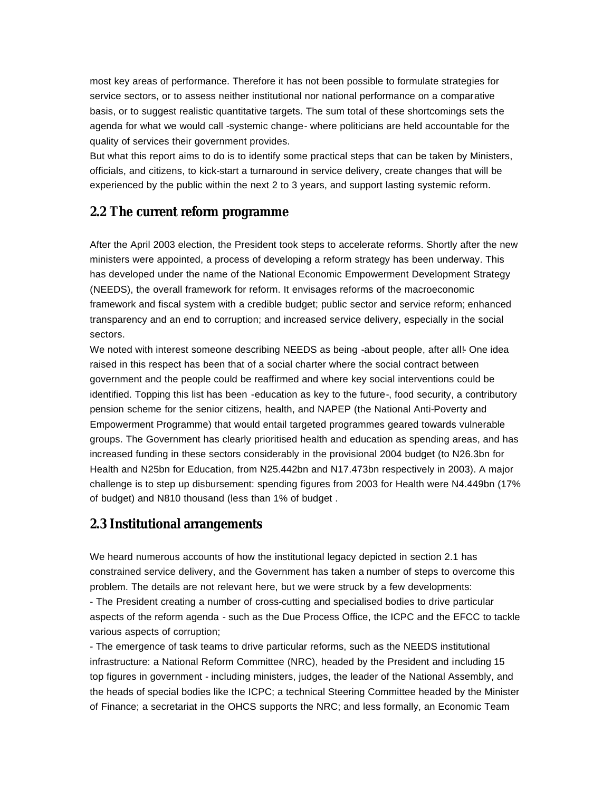most key areas of performance. Therefore it has not been possible to formulate strategies for service sectors, or to assess neither institutional nor national performance on a comparative basis, or to suggest realistic quantitative targets. The sum total of these shortcomings sets the agenda for what we would call -systemic change- where politicians are held accountable for the quality of services their government provides.

But what this report aims to do is to identify some practical steps that can be taken by Ministers, officials, and citizens, to kick-start a turnaround in service delivery, create changes that will be experienced by the public within the next 2 to 3 years, and support lasting systemic reform.

### **2.2 The current reform programme**

After the April 2003 election, the President took steps to accelerate reforms. Shortly after the new ministers were appointed, a process of developing a reform strategy has been underway. This has developed under the name of the National Economic Empowerment Development Strategy (NEEDS), the overall framework for reform. It envisages reforms of the macroeconomic framework and fiscal system with a credible budget; public sector and service reform; enhanced transparency and an end to corruption; and increased service delivery, especially in the social sectors.

We noted with interest someone describing NEEDS as being -about people, after all!- One idea raised in this respect has been that of a social charter where the social contract between government and the people could be reaffirmed and where key social interventions could be identified. Topping this list has been -education as key to the future-, food security, a contributory pension scheme for the senior citizens, health, and NAPEP (the National Anti-Poverty and Empowerment Programme) that would entail targeted programmes geared towards vulnerable groups. The Government has clearly prioritised health and education as spending areas, and has increased funding in these sectors considerably in the provisional 2004 budget (to N26.3bn for Health and N25bn for Education, from N25.442bn and N17.473bn respectively in 2003). A major challenge is to step up disbursement: spending figures from 2003 for Health were N4.449bn (17% of budget) and N810 thousand (less than 1% of budget .

### **2.3 Institutional arrangements**

We heard numerous accounts of how the institutional legacy depicted in section 2.1 has constrained service delivery, and the Government has taken a number of steps to overcome this problem. The details are not relevant here, but we were struck by a few developments: - The President creating a number of cross-cutting and specialised bodies to drive particular aspects of the reform agenda - such as the Due Process Office, the ICPC and the EFCC to tackle various aspects of corruption;

- The emergence of task teams to drive particular reforms, such as the NEEDS institutional infrastructure: a National Reform Committee (NRC), headed by the President and including 15 top figures in government - including ministers, judges, the leader of the National Assembly, and the heads of special bodies like the ICPC; a technical Steering Committee headed by the Minister of Finance; a secretariat in the OHCS supports the NRC; and less formally, an Economic Team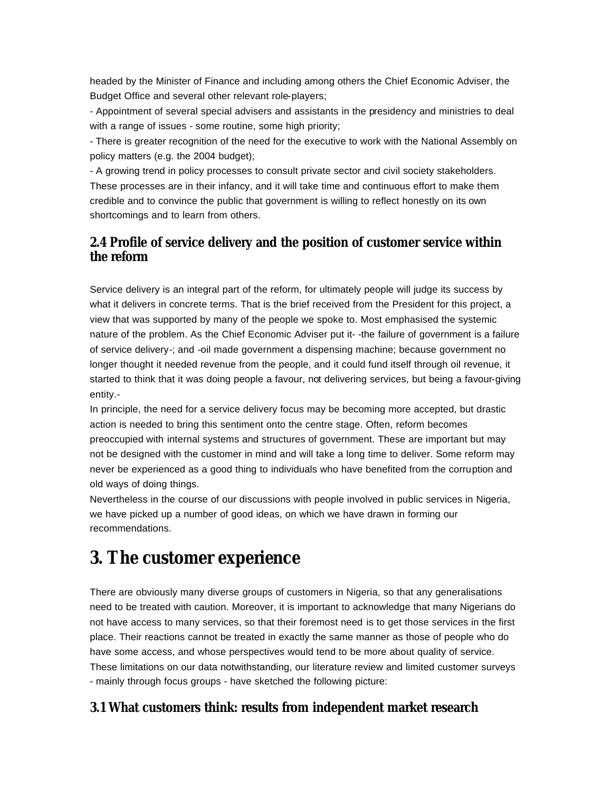headed by the Minister of Finance and including among others the Chief Economic Adviser, the Budget Office and several other relevant role-players;

- Appointment of several special advisers and assistants in the presidency and ministries to deal with a range of issues - some routine, some high priority;

- There is greater recognition of the need for the executive to work with the National Assembly on policy matters (e.g. the 2004 budget);

- A growing trend in policy processes to consult private sector and civil society stakeholders. These processes are in their infancy, and it will take time and continuous effort to make them credible and to convince the public that government is willing to reflect honestly on its own shortcomings and to learn from others.

## **2.4 Profile of service delivery and the position of customer service within the reform**

Service delivery is an integral part of the reform, for ultimately people will judge its success by what it delivers in concrete terms. That is the brief received from the President for this project, a view that was supported by many of the people we spoke to. Most emphasised the systemic nature of the problem. As the Chief Economic Adviser put it- -the failure of government is a failure of service delivery-; and -oil made government a dispensing machine; because government no longer thought it needed revenue from the people, and it could fund itself through oil revenue, it started to think that it was doing people a favour, not delivering services, but being a favour-giving entity.-

In principle, the need for a service delivery focus may be becoming more accepted, but drastic action is needed to bring this sentiment onto the centre stage. Often, reform becomes preoccupied with internal systems and structures of government. These are important but may not be designed with the customer in mind and will take a long time to deliver. Some reform may never be experienced as a good thing to individuals who have benefited from the corruption and old ways of doing things.

Nevertheless in the course of our discussions with people involved in public services in Nigeria, we have picked up a number of good ideas, on which we have drawn in forming our recommendations.

## **3. The customer experience**

There are obviously many diverse groups of customers in Nigeria, so that any generalisations need to be treated with caution. Moreover, it is important to acknowledge that many Nigerians do not have access to many services, so that their foremost need is to get those services in the first place. Their reactions cannot be treated in exactly the same manner as those of people who do have some access, and whose perspectives would tend to be more about quality of service. These limitations on our data notwithstanding, our literature review and limited customer surveys - mainly through focus groups - have sketched the following picture:

## **3.1 What customers think: results from independent market research**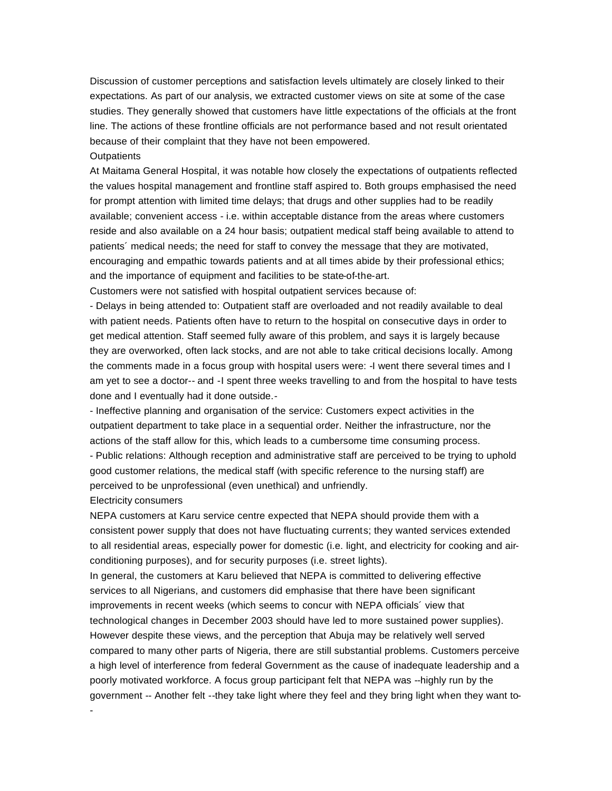Discussion of customer perceptions and satisfaction levels ultimately are closely linked to their expectations. As part of our analysis, we extracted customer views on site at some of the case studies. They generally showed that customers have little expectations of the officials at the front line. The actions of these frontline officials are not performance based and not result orientated because of their complaint that they have not been empowered.

#### **Outpatients**

At Maitama General Hospital, it was notable how closely the expectations of outpatients reflected the values hospital management and frontline staff aspired to. Both groups emphasised the need for prompt attention with limited time delays; that drugs and other supplies had to be readily available; convenient access - i.e. within acceptable distance from the areas where customers reside and also available on a 24 hour basis; outpatient medical staff being available to attend to patients´ medical needs; the need for staff to convey the message that they are motivated, encouraging and empathic towards patients and at all times abide by their professional ethics; and the importance of equipment and facilities to be state-of-the-art.

Customers were not satisfied with hospital outpatient services because of:

- Delays in being attended to: Outpatient staff are overloaded and not readily available to deal with patient needs. Patients often have to return to the hospital on consecutive days in order to get medical attention. Staff seemed fully aware of this problem, and says it is largely because they are overworked, often lack stocks, and are not able to take critical decisions locally. Among the comments made in a focus group with hospital users were: -I went there several times and I am yet to see a doctor-- and -I spent three weeks travelling to and from the hospital to have tests done and I eventually had it done outside.-

- Ineffective planning and organisation of the service: Customers expect activities in the outpatient department to take place in a sequential order. Neither the infrastructure, nor the actions of the staff allow for this, which leads to a cumbersome time consuming process. - Public relations: Although reception and administrative staff are perceived to be trying to uphold good customer relations, the medical staff (with specific reference to the nursing staff) are perceived to be unprofessional (even unethical) and unfriendly.

#### Electricity consumers

-

NEPA customers at Karu service centre expected that NEPA should provide them with a consistent power supply that does not have fluctuating currents; they wanted services extended to all residential areas, especially power for domestic (i.e. light, and electricity for cooking and airconditioning purposes), and for security purposes (i.e. street lights).

In general, the customers at Karu believed that NEPA is committed to delivering effective services to all Nigerians, and customers did emphasise that there have been significant improvements in recent weeks (which seems to concur with NEPA officials´ view that technological changes in December 2003 should have led to more sustained power supplies). However despite these views, and the perception that Abuja may be relatively well served compared to many other parts of Nigeria, there are still substantial problems. Customers perceive a high level of interference from federal Government as the cause of inadequate leadership and a poorly motivated workforce. A focus group participant felt that NEPA was --highly run by the government -- Another felt --they take light where they feel and they bring light when they want to-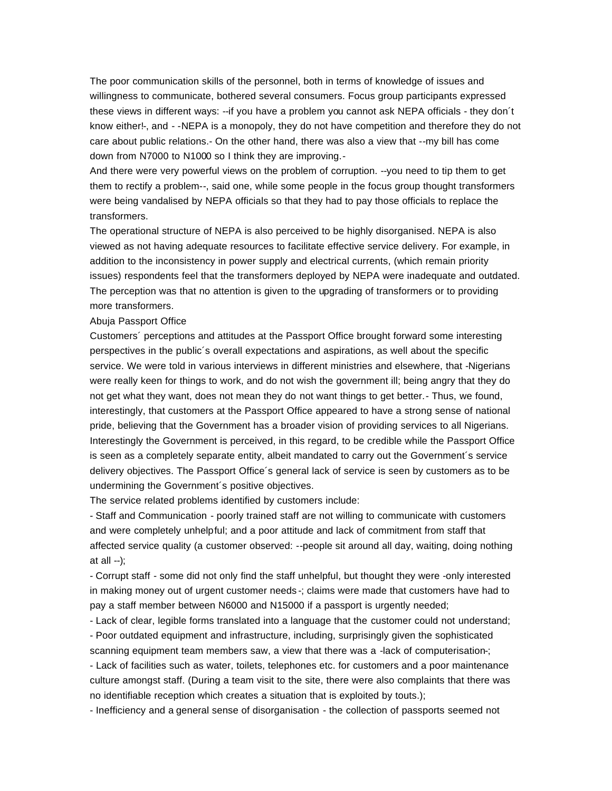The poor communication skills of the personnel, both in terms of knowledge of issues and willingness to communicate, bothered several consumers. Focus group participants expressed these views in different ways: --if you have a problem you cannot ask NEPA officials - they don´t know either!-, and - -NEPA is a monopoly, they do not have competition and therefore they do not care about public relations.- On the other hand, there was also a view that --my bill has come down from N7000 to N1000 so I think they are improving.-

And there were very powerful views on the problem of corruption. --you need to tip them to get them to rectify a problem--, said one, while some people in the focus group thought transformers were being vandalised by NEPA officials so that they had to pay those officials to replace the transformers.

The operational structure of NEPA is also perceived to be highly disorganised. NEPA is also viewed as not having adequate resources to facilitate effective service delivery. For example, in addition to the inconsistency in power supply and electrical currents, (which remain priority issues) respondents feel that the transformers deployed by NEPA were inadequate and outdated. The perception was that no attention is given to the upgrading of transformers or to providing more transformers.

#### Abuja Passport Office

Customers´ perceptions and attitudes at the Passport Office brought forward some interesting perspectives in the public´s overall expectations and aspirations, as well about the specific service. We were told in various interviews in different ministries and elsewhere, that -Nigerians were really keen for things to work, and do not wish the government ill; being angry that they do not get what they want, does not mean they do not want things to get better.- Thus, we found, interestingly, that customers at the Passport Office appeared to have a strong sense of national pride, believing that the Government has a broader vision of providing services to all Nigerians. Interestingly the Government is perceived, in this regard, to be credible while the Passport Office is seen as a completely separate entity, albeit mandated to carry out the Government´s service delivery objectives. The Passport Office´s general lack of service is seen by customers as to be undermining the Government´s positive objectives.

The service related problems identified by customers include:

- Staff and Communication - poorly trained staff are not willing to communicate with customers and were completely unhelpful; and a poor attitude and lack of commitment from staff that affected service quality (a customer observed: --people sit around all day, waiting, doing nothing at all --);

- Corrupt staff - some did not only find the staff unhelpful, but thought they were -only interested in making money out of urgent customer needs -; claims were made that customers have had to pay a staff member between N6000 and N15000 if a passport is urgently needed;

- Lack of clear, legible forms translated into a language that the customer could not understand; - Poor outdated equipment and infrastructure, including, surprisingly given the sophisticated scanning equipment team members saw, a view that there was a -lack of computerisation-;

- Lack of facilities such as water, toilets, telephones etc. for customers and a poor maintenance culture amongst staff. (During a team visit to the site, there were also complaints that there was no identifiable reception which creates a situation that is exploited by touts.);

- Inefficiency and a general sense of disorganisation - the collection of passports seemed not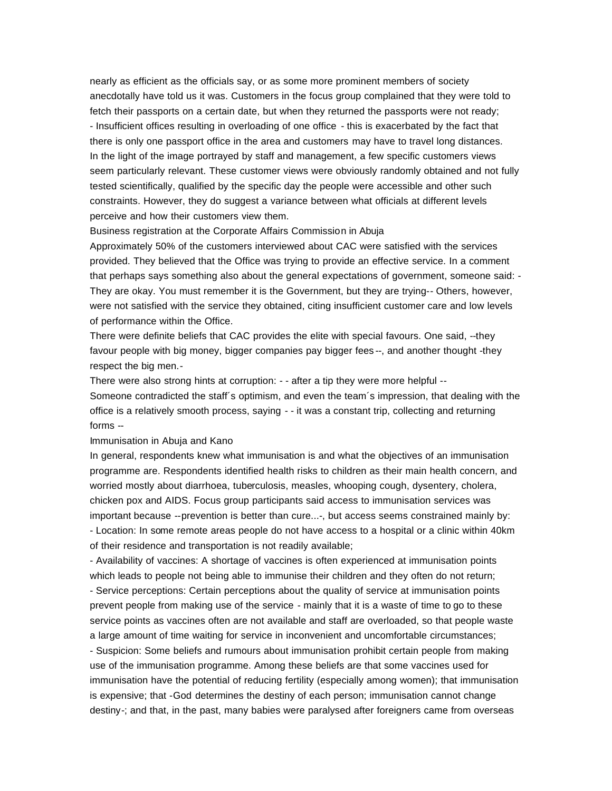nearly as efficient as the officials say, or as some more prominent members of society anecdotally have told us it was. Customers in the focus group complained that they were told to fetch their passports on a certain date, but when they returned the passports were not ready; - Insufficient offices resulting in overloading of one office - this is exacerbated by the fact that there is only one passport office in the area and customers may have to travel long distances. In the light of the image portrayed by staff and management, a few specific customers views seem particularly relevant. These customer views were obviously randomly obtained and not fully tested scientifically, qualified by the specific day the people were accessible and other such constraints. However, they do suggest a variance between what officials at different levels perceive and how their customers view them.

#### Business registration at the Corporate Affairs Commission in Abuja

Approximately 50% of the customers interviewed about CAC were satisfied with the services provided. They believed that the Office was trying to provide an effective service. In a comment that perhaps says something also about the general expectations of government, someone said: - They are okay. You must remember it is the Government, but they are trying-- Others, however, were not satisfied with the service they obtained, citing insufficient customer care and low levels of performance within the Office.

There were definite beliefs that CAC provides the elite with special favours. One said, --they favour people with big money, bigger companies pay bigger fees --, and another thought -they respect the big men.-

There were also strong hints at corruption: - - after a tip they were more helpful -- Someone contradicted the staff´s optimism, and even the team´s impression, that dealing with the office is a relatively smooth process, saying - - it was a constant trip, collecting and returning forms --

#### Immunisation in Abuja and Kano

In general, respondents knew what immunisation is and what the objectives of an immunisation programme are. Respondents identified health risks to children as their main health concern, and worried mostly about diarrhoea, tuberculosis, measles, whooping cough, dysentery, cholera, chicken pox and AIDS. Focus group participants said access to immunisation services was important because --prevention is better than cure...-, but access seems constrained mainly by: - Location: In some remote areas people do not have access to a hospital or a clinic within 40km of their residence and transportation is not readily available;

- Availability of vaccines: A shortage of vaccines is often experienced at immunisation points which leads to people not being able to immunise their children and they often do not return; - Service perceptions: Certain perceptions about the quality of service at immunisation points prevent people from making use of the service - mainly that it is a waste of time to go to these service points as vaccines often are not available and staff are overloaded, so that people waste a large amount of time waiting for service in inconvenient and uncomfortable circumstances;

- Suspicion: Some beliefs and rumours about immunisation prohibit certain people from making use of the immunisation programme. Among these beliefs are that some vaccines used for immunisation have the potential of reducing fertility (especially among women); that immunisation is expensive; that -God determines the destiny of each person; immunisation cannot change destiny-; and that, in the past, many babies were paralysed after foreigners came from overseas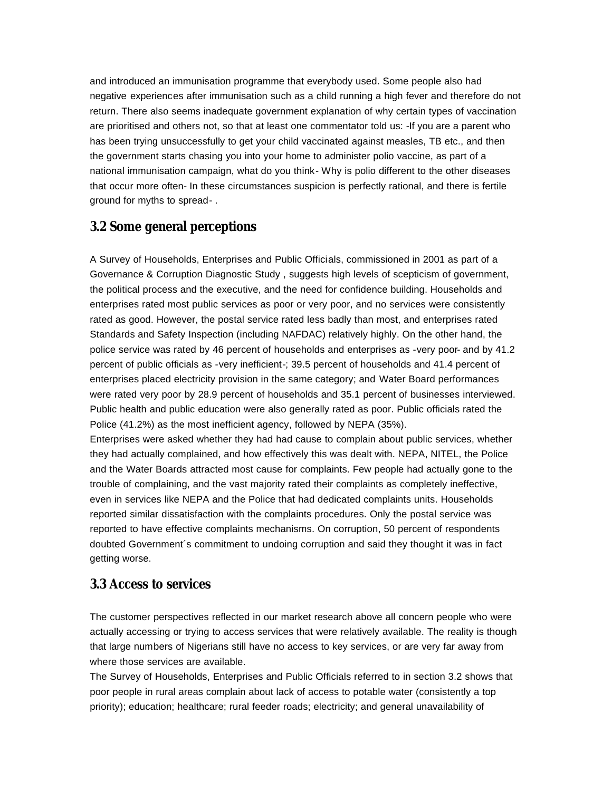and introduced an immunisation programme that everybody used. Some people also had negative experiences after immunisation such as a child running a high fever and therefore do not return. There also seems inadequate government explanation of why certain types of vaccination are prioritised and others not, so that at least one commentator told us: -If you are a parent who has been trying unsuccessfully to get your child vaccinated against measles, TB etc., and then the government starts chasing you into your home to administer polio vaccine, as part of a national immunisation campaign, what do you think- Why is polio different to the other diseases that occur more often- In these circumstances suspicion is perfectly rational, and there is fertile ground for myths to spread- .

### **3.2 Some general perceptions**

A Survey of Households, Enterprises and Public Officials, commissioned in 2001 as part of a Governance & Corruption Diagnostic Study , suggests high levels of scepticism of government, the political process and the executive, and the need for confidence building. Households and enterprises rated most public services as poor or very poor, and no services were consistently rated as good. However, the postal service rated less badly than most, and enterprises rated Standards and Safety Inspection (including NAFDAC) relatively highly. On the other hand, the police service was rated by 46 percent of households and enterprises as -very poor- and by 41.2 percent of public officials as -very inefficient-; 39.5 percent of households and 41.4 percent of enterprises placed electricity provision in the same category; and Water Board performances were rated very poor by 28.9 percent of households and 35.1 percent of businesses interviewed. Public health and public education were also generally rated as poor. Public officials rated the Police (41.2%) as the most inefficient agency, followed by NEPA (35%).

Enterprises were asked whether they had had cause to complain about public services, whether they had actually complained, and how effectively this was dealt with. NEPA, NITEL, the Police and the Water Boards attracted most cause for complaints. Few people had actually gone to the trouble of complaining, and the vast majority rated their complaints as completely ineffective, even in services like NEPA and the Police that had dedicated complaints units. Households reported similar dissatisfaction with the complaints procedures. Only the postal service was reported to have effective complaints mechanisms. On corruption, 50 percent of respondents doubted Government´s commitment to undoing corruption and said they thought it was in fact getting worse.

### **3.3 Access to services**

The customer perspectives reflected in our market research above all concern people who were actually accessing or trying to access services that were relatively available. The reality is though that large numbers of Nigerians still have no access to key services, or are very far away from where those services are available.

The Survey of Households, Enterprises and Public Officials referred to in section 3.2 shows that poor people in rural areas complain about lack of access to potable water (consistently a top priority); education; healthcare; rural feeder roads; electricity; and general unavailability of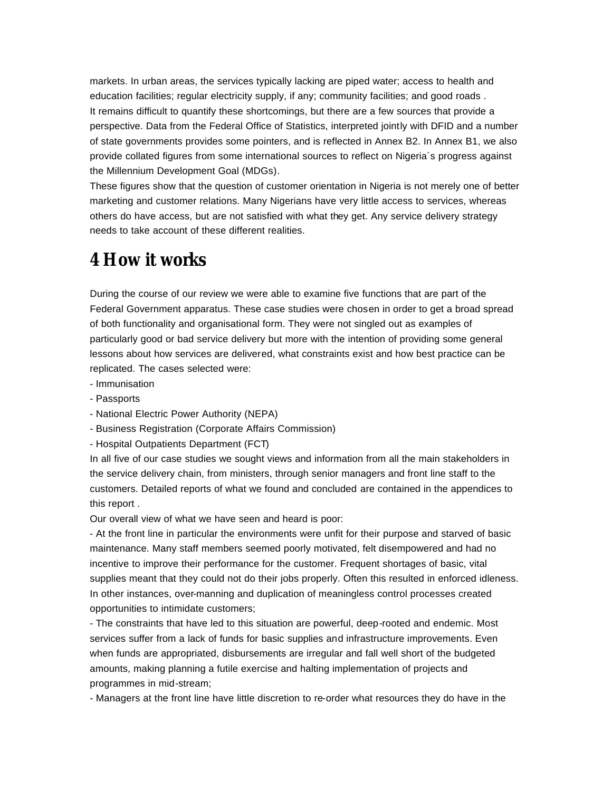markets. In urban areas, the services typically lacking are piped water; access to health and education facilities; regular electricity supply, if any; community facilities; and good roads . It remains difficult to quantify these shortcomings, but there are a few sources that provide a perspective. Data from the Federal Office of Statistics, interpreted jointly with DFID and a number of state governments provides some pointers, and is reflected in Annex B2. In Annex B1, we also provide collated figures from some international sources to reflect on Nigeria´s progress against the Millennium Development Goal (MDGs).

These figures show that the question of customer orientation in Nigeria is not merely one of better marketing and customer relations. Many Nigerians have very little access to services, whereas others do have access, but are not satisfied with what they get. Any service delivery strategy needs to take account of these different realities.

## **4 How it works**

During the course of our review we were able to examine five functions that are part of the Federal Government apparatus. These case studies were chosen in order to get a broad spread of both functionality and organisational form. They were not singled out as examples of particularly good or bad service delivery but more with the intention of providing some general lessons about how services are delivered, what constraints exist and how best practice can be replicated. The cases selected were:

- Immunisation
- Passports
- National Electric Power Authority (NEPA)
- Business Registration (Corporate Affairs Commission)
- Hospital Outpatients Department (FCT)

In all five of our case studies we sought views and information from all the main stakeholders in the service delivery chain, from ministers, through senior managers and front line staff to the customers. Detailed reports of what we found and concluded are contained in the appendices to this report .

Our overall view of what we have seen and heard is poor:

- At the front line in particular the environments were unfit for their purpose and starved of basic maintenance. Many staff members seemed poorly motivated, felt disempowered and had no incentive to improve their performance for the customer. Frequent shortages of basic, vital supplies meant that they could not do their jobs properly. Often this resulted in enforced idleness. In other instances, over-manning and duplication of meaningless control processes created opportunities to intimidate customers;

- The constraints that have led to this situation are powerful, deep-rooted and endemic. Most services suffer from a lack of funds for basic supplies and infrastructure improvements. Even when funds are appropriated, disbursements are irregular and fall well short of the budgeted amounts, making planning a futile exercise and halting implementation of projects and programmes in mid-stream;

- Managers at the front line have little discretion to re-order what resources they do have in the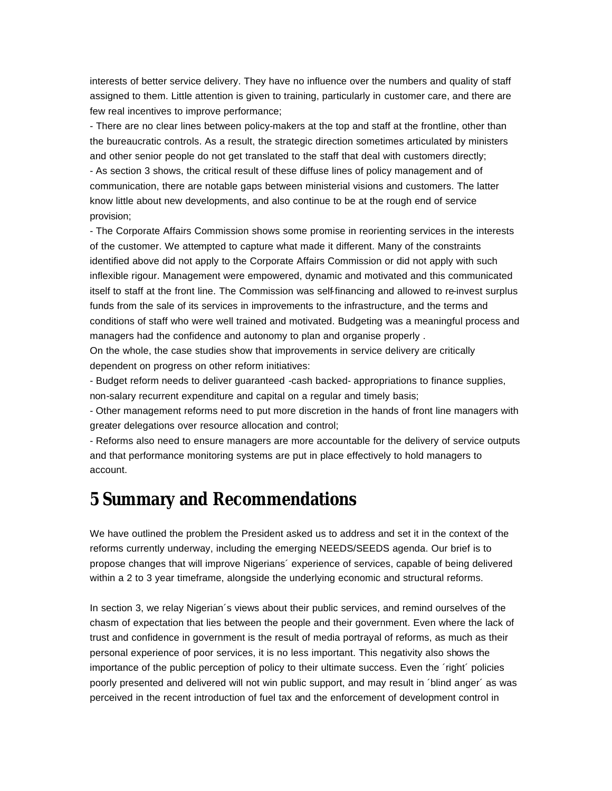interests of better service delivery. They have no influence over the numbers and quality of staff assigned to them. Little attention is given to training, particularly in customer care, and there are few real incentives to improve performance;

- There are no clear lines between policy-makers at the top and staff at the frontline, other than the bureaucratic controls. As a result, the strategic direction sometimes articulated by ministers and other senior people do not get translated to the staff that deal with customers directly; - As section 3 shows, the critical result of these diffuse lines of policy management and of communication, there are notable gaps between ministerial visions and customers. The latter know little about new developments, and also continue to be at the rough end of service provision;

- The Corporate Affairs Commission shows some promise in reorienting services in the interests of the customer. We attempted to capture what made it different. Many of the constraints identified above did not apply to the Corporate Affairs Commission or did not apply with such inflexible rigour. Management were empowered, dynamic and motivated and this communicated itself to staff at the front line. The Commission was self-financing and allowed to re-invest surplus funds from the sale of its services in improvements to the infrastructure, and the terms and conditions of staff who were well trained and motivated. Budgeting was a meaningful process and managers had the confidence and autonomy to plan and organise properly .

On the whole, the case studies show that improvements in service delivery are critically dependent on progress on other reform initiatives:

- Budget reform needs to deliver guaranteed -cash backed- appropriations to finance supplies, non-salary recurrent expenditure and capital on a regular and timely basis;

- Other management reforms need to put more discretion in the hands of front line managers with greater delegations over resource allocation and control;

- Reforms also need to ensure managers are more accountable for the delivery of service outputs and that performance monitoring systems are put in place effectively to hold managers to account.

## **5 Summary and Recommendations**

We have outlined the problem the President asked us to address and set it in the context of the reforms currently underway, including the emerging NEEDS/SEEDS agenda. Our brief is to propose changes that will improve Nigerians´ experience of services, capable of being delivered within a 2 to 3 year timeframe, alongside the underlying economic and structural reforms.

In section 3, we relay Nigerian´s views about their public services, and remind ourselves of the chasm of expectation that lies between the people and their government. Even where the lack of trust and confidence in government is the result of media portrayal of reforms, as much as their personal experience of poor services, it is no less important. This negativity also shows the importance of the public perception of policy to their ultimate success. Even the ´right´ policies poorly presented and delivered will not win public support, and may result in ´blind anger´ as was perceived in the recent introduction of fuel tax and the enforcement of development control in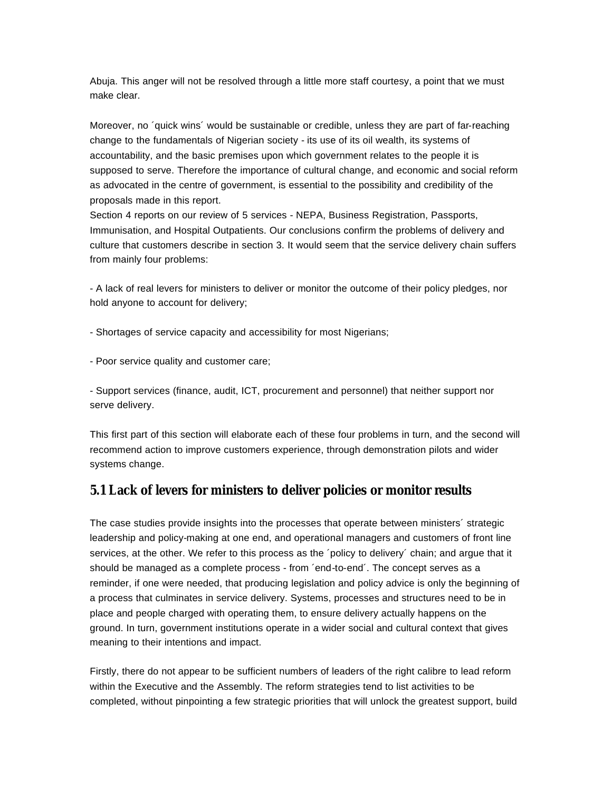Abuja. This anger will not be resolved through a little more staff courtesy, a point that we must make clear.

Moreover, no ´quick wins´ would be sustainable or credible, unless they are part of far-reaching change to the fundamentals of Nigerian society - its use of its oil wealth, its systems of accountability, and the basic premises upon which government relates to the people it is supposed to serve. Therefore the importance of cultural change, and economic and social reform as advocated in the centre of government, is essential to the possibility and credibility of the proposals made in this report.

Section 4 reports on our review of 5 services - NEPA, Business Registration, Passports, Immunisation, and Hospital Outpatients. Our conclusions confirm the problems of delivery and culture that customers describe in section 3. It would seem that the service delivery chain suffers from mainly four problems:

- A lack of real levers for ministers to deliver or monitor the outcome of their policy pledges, nor hold anyone to account for delivery;

- Shortages of service capacity and accessibility for most Nigerians;

- Poor service quality and customer care;

- Support services (finance, audit, ICT, procurement and personnel) that neither support nor serve delivery.

This first part of this section will elaborate each of these four problems in turn, and the second will recommend action to improve customers experience, through demonstration pilots and wider systems change.

### **5.1 Lack of levers for ministers to deliver policies or monitor results**

The case studies provide insights into the processes that operate between ministers´ strategic leadership and policy-making at one end, and operational managers and customers of front line services, at the other. We refer to this process as the ´policy to delivery´ chain; and argue that it should be managed as a complete process - from ´end-to-end´. The concept serves as a reminder, if one were needed, that producing legislation and policy advice is only the beginning of a process that culminates in service delivery. Systems, processes and structures need to be in place and people charged with operating them, to ensure delivery actually happens on the ground. In turn, government institutions operate in a wider social and cultural context that gives meaning to their intentions and impact.

Firstly, there do not appear to be sufficient numbers of leaders of the right calibre to lead reform within the Executive and the Assembly. The reform strategies tend to list activities to be completed, without pinpointing a few strategic priorities that will unlock the greatest support, build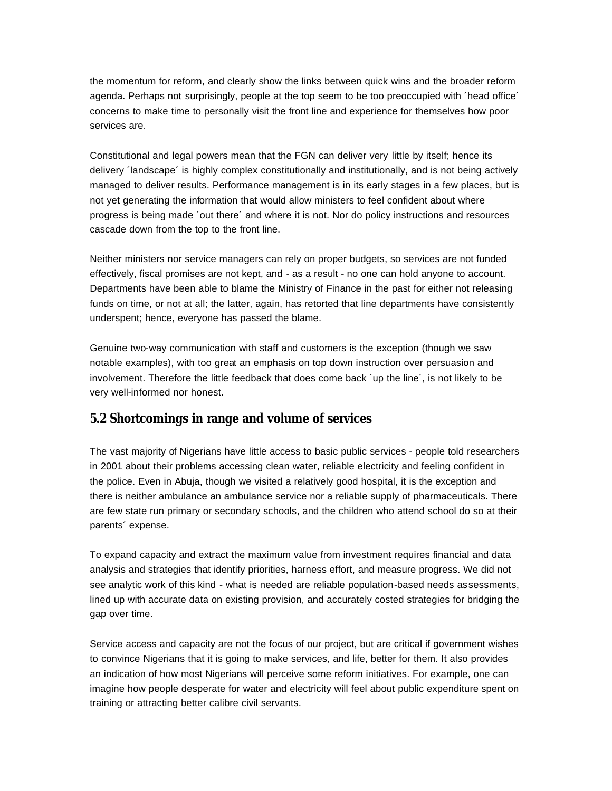the momentum for reform, and clearly show the links between quick wins and the broader reform agenda. Perhaps not surprisingly, people at the top seem to be too preoccupied with ´head office´ concerns to make time to personally visit the front line and experience for themselves how poor services are.

Constitutional and legal powers mean that the FGN can deliver very little by itself; hence its delivery ´landscape´ is highly complex constitutionally and institutionally, and is not being actively managed to deliver results. Performance management is in its early stages in a few places, but is not yet generating the information that would allow ministers to feel confident about where progress is being made ´out there´ and where it is not. Nor do policy instructions and resources cascade down from the top to the front line.

Neither ministers nor service managers can rely on proper budgets, so services are not funded effectively, fiscal promises are not kept, and - as a result - no one can hold anyone to account. Departments have been able to blame the Ministry of Finance in the past for either not releasing funds on time, or not at all; the latter, again, has retorted that line departments have consistently underspent; hence, everyone has passed the blame.

Genuine two-way communication with staff and customers is the exception (though we saw notable examples), with too great an emphasis on top down instruction over persuasion and involvement. Therefore the little feedback that does come back ´up the line´, is not likely to be very well-informed nor honest.

### **5.2 Shortcomings in range and volume of services**

The vast majority of Nigerians have little access to basic public services - people told researchers in 2001 about their problems accessing clean water, reliable electricity and feeling confident in the police. Even in Abuja, though we visited a relatively good hospital, it is the exception and there is neither ambulance an ambulance service nor a reliable supply of pharmaceuticals. There are few state run primary or secondary schools, and the children who attend school do so at their parents´ expense.

To expand capacity and extract the maximum value from investment requires financial and data analysis and strategies that identify priorities, harness effort, and measure progress. We did not see analytic work of this kind - what is needed are reliable population-based needs assessments, lined up with accurate data on existing provision, and accurately costed strategies for bridging the gap over time.

Service access and capacity are not the focus of our project, but are critical if government wishes to convince Nigerians that it is going to make services, and life, better for them. It also provides an indication of how most Nigerians will perceive some reform initiatives. For example, one can imagine how people desperate for water and electricity will feel about public expenditure spent on training or attracting better calibre civil servants.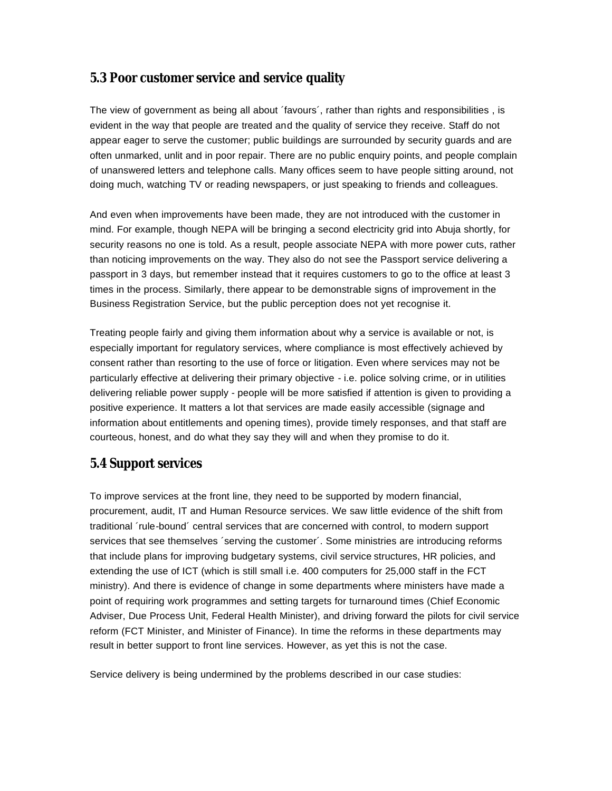### **5.3 Poor customer service and service quality**

The view of government as being all about ´favours´, rather than rights and responsibilities , is evident in the way that people are treated and the quality of service they receive. Staff do not appear eager to serve the customer; public buildings are surrounded by security guards and are often unmarked, unlit and in poor repair. There are no public enquiry points, and people complain of unanswered letters and telephone calls. Many offices seem to have people sitting around, not doing much, watching TV or reading newspapers, or just speaking to friends and colleagues.

And even when improvements have been made, they are not introduced with the customer in mind. For example, though NEPA will be bringing a second electricity grid into Abuja shortly, for security reasons no one is told. As a result, people associate NEPA with more power cuts, rather than noticing improvements on the way. They also do not see the Passport service delivering a passport in 3 days, but remember instead that it requires customers to go to the office at least 3 times in the process. Similarly, there appear to be demonstrable signs of improvement in the Business Registration Service, but the public perception does not yet recognise it.

Treating people fairly and giving them information about why a service is available or not, is especially important for regulatory services, where compliance is most effectively achieved by consent rather than resorting to the use of force or litigation. Even where services may not be particularly effective at delivering their primary objective - i.e. police solving crime, or in utilities delivering reliable power supply - people will be more satisfied if attention is given to providing a positive experience. It matters a lot that services are made easily accessible (signage and information about entitlements and opening times), provide timely responses, and that staff are courteous, honest, and do what they say they will and when they promise to do it.

## **5.4 Support services**

To improve services at the front line, they need to be supported by modern financial, procurement, audit, IT and Human Resource services. We saw little evidence of the shift from traditional ´rule-bound´ central services that are concerned with control, to modern support services that see themselves ´serving the customer´. Some ministries are introducing reforms that include plans for improving budgetary systems, civil service structures, HR policies, and extending the use of ICT (which is still small i.e. 400 computers for 25,000 staff in the FCT ministry). And there is evidence of change in some departments where ministers have made a point of requiring work programmes and setting targets for turnaround times (Chief Economic Adviser, Due Process Unit, Federal Health Minister), and driving forward the pilots for civil service reform (FCT Minister, and Minister of Finance). In time the reforms in these departments may result in better support to front line services. However, as yet this is not the case.

Service delivery is being undermined by the problems described in our case studies: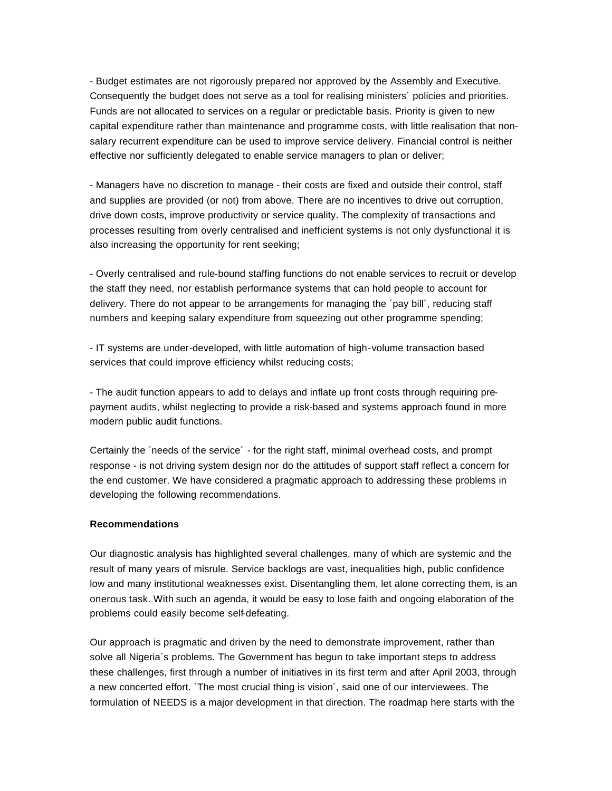- Budget estimates are not rigorously prepared nor approved by the Assembly and Executive. Consequently the budget does not serve as a tool for realising ministers´ policies and priorities. Funds are not allocated to services on a regular or predictable basis. Priority is given to new capital expenditure rather than maintenance and programme costs, with little realisation that nonsalary recurrent expenditure can be used to improve service delivery. Financial control is neither effective nor sufficiently delegated to enable service managers to plan or deliver;

- Managers have no discretion to manage - their costs are fixed and outside their control, staff and supplies are provided (or not) from above. There are no incentives to drive out corruption, drive down costs, improve productivity or service quality. The complexity of transactions and processes resulting from overly centralised and inefficient systems is not only dysfunctional it is also increasing the opportunity for rent seeking;

- Overly centralised and rule-bound staffing functions do not enable services to recruit or develop the staff they need, nor establish performance systems that can hold people to account for delivery. There do not appear to be arrangements for managing the ´pay bill´, reducing staff numbers and keeping salary expenditure from squeezing out other programme spending;

- IT systems are under-developed, with little automation of high-volume transaction based services that could improve efficiency whilst reducing costs;

- The audit function appears to add to delays and inflate up front costs through requiring prepayment audits, whilst neglecting to provide a risk-based and systems approach found in more modern public audit functions.

Certainly the ´needs of the service´ - for the right staff, minimal overhead costs, and prompt response - is not driving system design nor do the attitudes of support staff reflect a concern for the end customer. We have considered a pragmatic approach to addressing these problems in developing the following recommendations.

#### **Recommendations**

Our diagnostic analysis has highlighted several challenges, many of which are systemic and the result of many years of misrule. Service backlogs are vast, inequalities high, public confidence low and many institutional weaknesses exist. Disentangling them, let alone correcting them, is an onerous task. With such an agenda, it would be easy to lose faith and ongoing elaboration of the problems could easily become self-defeating.

Our approach is pragmatic and driven by the need to demonstrate improvement, rather than solve all Nigeria´s problems. The Government has begun to take important steps to address these challenges, first through a number of initiatives in its first term and after April 2003, through a new concerted effort. ´The most crucial thing is vision´, said one of our interviewees. The formulation of NEEDS is a major development in that direction. The roadmap here starts with the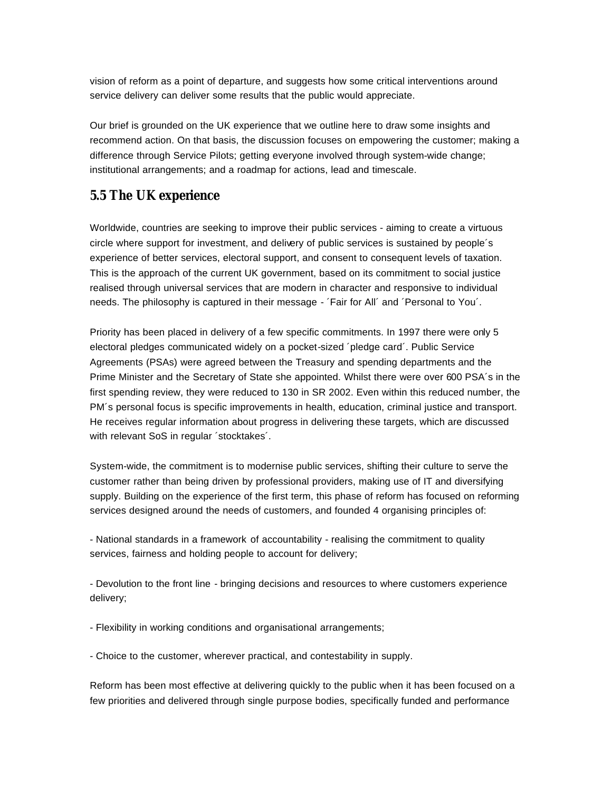vision of reform as a point of departure, and suggests how some critical interventions around service delivery can deliver some results that the public would appreciate.

Our brief is grounded on the UK experience that we outline here to draw some insights and recommend action. On that basis, the discussion focuses on empowering the customer; making a difference through Service Pilots; getting everyone involved through system-wide change; institutional arrangements; and a roadmap for actions, lead and timescale.

### **5.5 The UK experience**

Worldwide, countries are seeking to improve their public services - aiming to create a virtuous circle where support for investment, and delivery of public services is sustained by people´s experience of better services, electoral support, and consent to consequent levels of taxation. This is the approach of the current UK government, based on its commitment to social justice realised through universal services that are modern in character and responsive to individual needs. The philosophy is captured in their message - ´Fair for All´ and ´Personal to You´.

Priority has been placed in delivery of a few specific commitments. In 1997 there were only 5 electoral pledges communicated widely on a pocket-sized ´pledge card´. Public Service Agreements (PSAs) were agreed between the Treasury and spending departments and the Prime Minister and the Secretary of State she appointed. Whilst there were over 600 PSA´s in the first spending review, they were reduced to 130 in SR 2002. Even within this reduced number, the PM´s personal focus is specific improvements in health, education, criminal justice and transport. He receives regular information about progress in delivering these targets, which are discussed with relevant SoS in regular ´stocktakes´.

System-wide, the commitment is to modernise public services, shifting their culture to serve the customer rather than being driven by professional providers, making use of IT and diversifying supply. Building on the experience of the first term, this phase of reform has focused on reforming services designed around the needs of customers, and founded 4 organising principles of:

- National standards in a framework of accountability - realising the commitment to quality services, fairness and holding people to account for delivery;

- Devolution to the front line - bringing decisions and resources to where customers experience delivery;

- Flexibility in working conditions and organisational arrangements;

- Choice to the customer, wherever practical, and contestability in supply.

Reform has been most effective at delivering quickly to the public when it has been focused on a few priorities and delivered through single purpose bodies, specifically funded and performance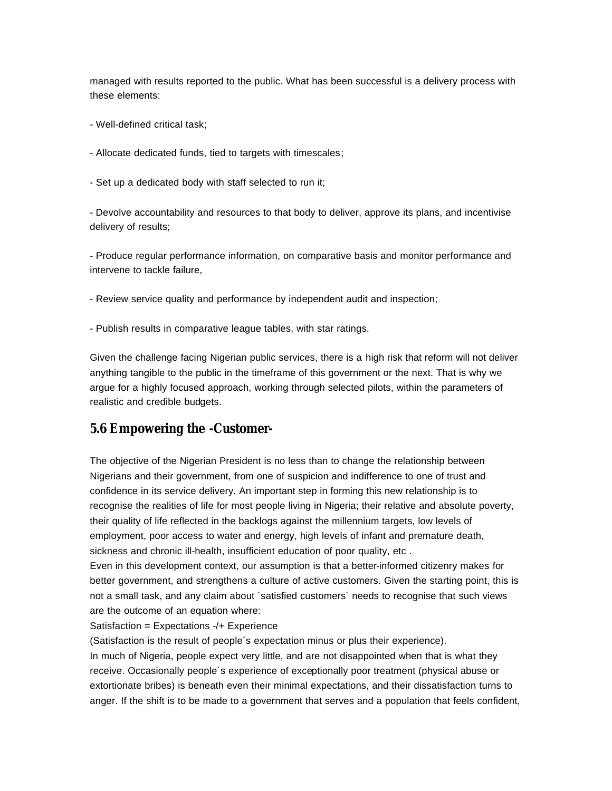managed with results reported to the public. What has been successful is a delivery process with these elements:

- Well-defined critical task;
- Allocate dedicated funds, tied to targets with timescales;
- Set up a dedicated body with staff selected to run it;

- Devolve accountability and resources to that body to deliver, approve its plans, and incentivise delivery of results;

- Produce regular performance information, on comparative basis and monitor performance and intervene to tackle failure,

- Review service quality and performance by independent audit and inspection;
- Publish results in comparative league tables, with star ratings.

Given the challenge facing Nigerian public services, there is a high risk that reform will not deliver anything tangible to the public in the timeframe of this government or the next. That is why we argue for a highly focused approach, working through selected pilots, within the parameters of realistic and credible budgets.

### **5.6 Empowering the -Customer-**

The objective of the Nigerian President is no less than to change the relationship between Nigerians and their government, from one of suspicion and indifference to one of trust and confidence in its service delivery. An important step in forming this new relationship is to recognise the realities of life for most people living in Nigeria; their relative and absolute poverty, their quality of life reflected in the backlogs against the millennium targets, low levels of employment, poor access to water and energy, high levels of infant and premature death, sickness and chronic ill-health, insufficient education of poor quality, etc .

Even in this development context, our assumption is that a better-informed citizenry makes for better government, and strengthens a culture of active customers. Given the starting point, this is not a small task, and any claim about ´satisfied customers´ needs to recognise that such views are the outcome of an equation where:

### Satisfaction = Expectations -/+ Experience

(Satisfaction is the result of people´s expectation minus or plus their experience).

In much of Nigeria, people expect very little, and are not disappointed when that is what they receive. Occasionally people´s experience of exceptionally poor treatment (physical abuse or extortionate bribes) is beneath even their minimal expectations, and their dissatisfaction turns to anger. If the shift is to be made to a government that serves and a population that feels confident,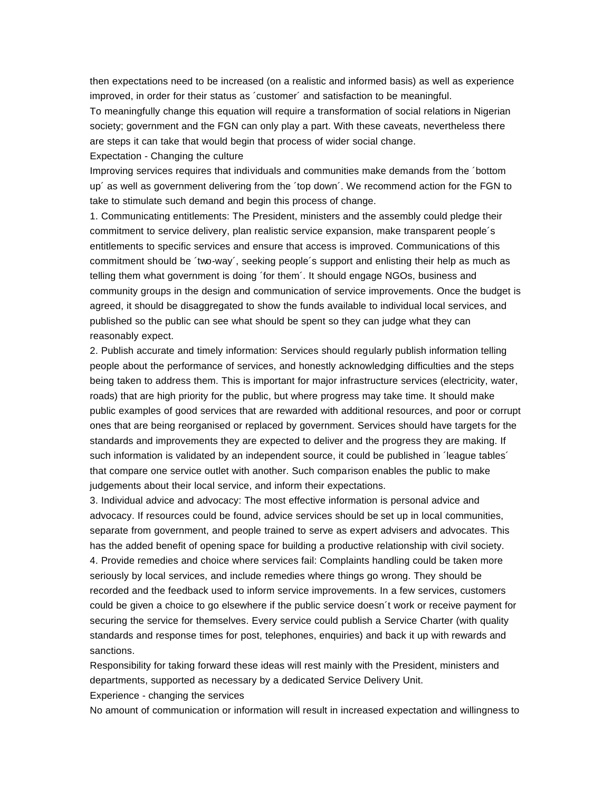then expectations need to be increased (on a realistic and informed basis) as well as experience improved, in order for their status as ´customer´ and satisfaction to be meaningful.

To meaningfully change this equation will require a transformation of social relations in Nigerian society; government and the FGN can only play a part. With these caveats, nevertheless there are steps it can take that would begin that process of wider social change.

Expectation - Changing the culture

Improving services requires that individuals and communities make demands from the ´bottom up´ as well as government delivering from the ´top down´. We recommend action for the FGN to take to stimulate such demand and begin this process of change.

1. Communicating entitlements: The President, ministers and the assembly could pledge their commitment to service delivery, plan realistic service expansion, make transparent people´s entitlements to specific services and ensure that access is improved. Communications of this commitment should be ´two-way´, seeking people´s support and enlisting their help as much as telling them what government is doing ´for them´. It should engage NGOs, business and community groups in the design and communication of service improvements. Once the budget is agreed, it should be disaggregated to show the funds available to individual local services, and published so the public can see what should be spent so they can judge what they can reasonably expect.

2. Publish accurate and timely information: Services should regularly publish information telling people about the performance of services, and honestly acknowledging difficulties and the steps being taken to address them. This is important for major infrastructure services (electricity, water, roads) that are high priority for the public, but where progress may take time. It should make public examples of good services that are rewarded with additional resources, and poor or corrupt ones that are being reorganised or replaced by government. Services should have targets for the standards and improvements they are expected to deliver and the progress they are making. If such information is validated by an independent source, it could be published in 'league tables' that compare one service outlet with another. Such comparison enables the public to make judgements about their local service, and inform their expectations.

3. Individual advice and advocacy: The most effective information is personal advice and advocacy. If resources could be found, advice services should be set up in local communities, separate from government, and people trained to serve as expert advisers and advocates. This has the added benefit of opening space for building a productive relationship with civil society. 4. Provide remedies and choice where services fail: Complaints handling could be taken more seriously by local services, and include remedies where things go wrong. They should be recorded and the feedback used to inform service improvements. In a few services, customers could be given a choice to go elsewhere if the public service doesn´t work or receive payment for securing the service for themselves. Every service could publish a Service Charter (with quality standards and response times for post, telephones, enquiries) and back it up with rewards and sanctions.

Responsibility for taking forward these ideas will rest mainly with the President, ministers and departments, supported as necessary by a dedicated Service Delivery Unit.

Experience - changing the services

No amount of communication or information will result in increased expectation and willingness to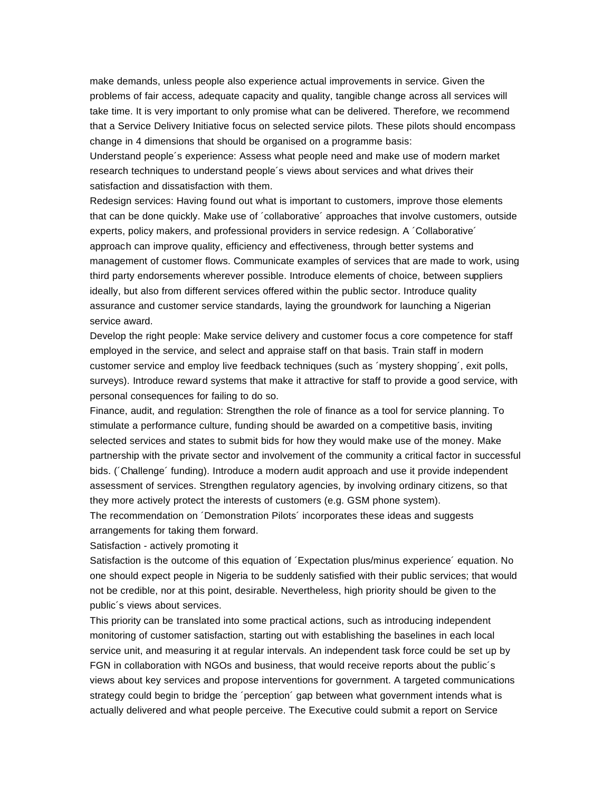make demands, unless people also experience actual improvements in service. Given the problems of fair access, adequate capacity and quality, tangible change across all services will take time. It is very important to only promise what can be delivered. Therefore, we recommend that a Service Delivery Initiative focus on selected service pilots. These pilots should encompass change in 4 dimensions that should be organised on a programme basis:

Understand people´s experience: Assess what people need and make use of modern market research techniques to understand people´s views about services and what drives their satisfaction and dissatisfaction with them.

Redesign services: Having found out what is important to customers, improve those elements that can be done quickly. Make use of ´collaborative´ approaches that involve customers, outside experts, policy makers, and professional providers in service redesign. A ´Collaborative´ approach can improve quality, efficiency and effectiveness, through better systems and management of customer flows. Communicate examples of services that are made to work, using third party endorsements wherever possible. Introduce elements of choice, between suppliers ideally, but also from different services offered within the public sector. Introduce quality assurance and customer service standards, laying the groundwork for launching a Nigerian service award.

Develop the right people: Make service delivery and customer focus a core competence for staff employed in the service, and select and appraise staff on that basis. Train staff in modern customer service and employ live feedback techniques (such as ´mystery shopping´, exit polls, surveys). Introduce reward systems that make it attractive for staff to provide a good service, with personal consequences for failing to do so.

Finance, audit, and regulation: Strengthen the role of finance as a tool for service planning. To stimulate a performance culture, funding should be awarded on a competitive basis, inviting selected services and states to submit bids for how they would make use of the money. Make partnership with the private sector and involvement of the community a critical factor in successful bids. (´Challenge´ funding). Introduce a modern audit approach and use it provide independent assessment of services. Strengthen regulatory agencies, by involving ordinary citizens, so that they more actively protect the interests of customers (e.g. GSM phone system).

The recommendation on ´Demonstration Pilots´ incorporates these ideas and suggests arrangements for taking them forward.

Satisfaction - actively promoting it

Satisfaction is the outcome of this equation of ´Expectation plus/minus experience´ equation. No one should expect people in Nigeria to be suddenly satisfied with their public services; that would not be credible, nor at this point, desirable. Nevertheless, high priority should be given to the public´s views about services.

This priority can be translated into some practical actions, such as introducing independent monitoring of customer satisfaction, starting out with establishing the baselines in each local service unit, and measuring it at regular intervals. An independent task force could be set up by FGN in collaboration with NGOs and business, that would receive reports about the public´s views about key services and propose interventions for government. A targeted communications strategy could begin to bridge the ´perception´ gap between what government intends what is actually delivered and what people perceive. The Executive could submit a report on Service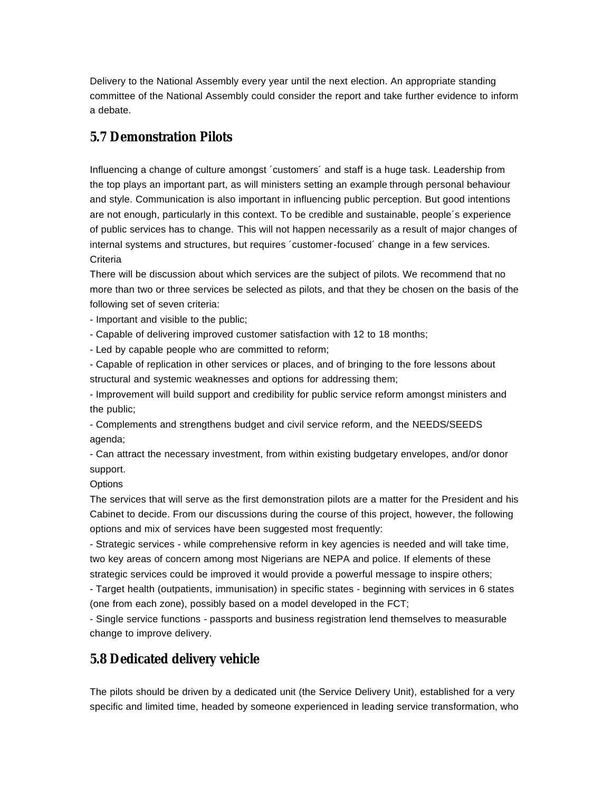Delivery to the National Assembly every year until the next election. An appropriate standing committee of the National Assembly could consider the report and take further evidence to inform a debate.

### **5.7 Demonstration Pilots**

Influencing a change of culture amongst ´customers´ and staff is a huge task. Leadership from the top plays an important part, as will ministers setting an example through personal behaviour and style. Communication is also important in influencing public perception. But good intentions are not enough, particularly in this context. To be credible and sustainable, people´s experience of public services has to change. This will not happen necessarily as a result of major changes of internal systems and structures, but requires ´customer-focused´ change in a few services. **Criteria** 

There will be discussion about which services are the subject of pilots. We recommend that no more than two or three services be selected as pilots, and that they be chosen on the basis of the following set of seven criteria:

- Important and visible to the public;

- Capable of delivering improved customer satisfaction with 12 to 18 months;

- Led by capable people who are committed to reform;

- Capable of replication in other services or places, and of bringing to the fore lessons about structural and systemic weaknesses and options for addressing them;

- Improvement will build support and credibility for public service reform amongst ministers and the public;

- Complements and strengthens budget and civil service reform, and the NEEDS/SEEDS agenda;

- Can attract the necessary investment, from within existing budgetary envelopes, and/or donor support.

**Options** 

The services that will serve as the first demonstration pilots are a matter for the President and his Cabinet to decide. From our discussions during the course of this project, however, the following options and mix of services have been suggested most frequently:

- Strategic services - while comprehensive reform in key agencies is needed and will take time, two key areas of concern among most Nigerians are NEPA and police. If elements of these strategic services could be improved it would provide a powerful message to inspire others;

- Target health (outpatients, immunisation) in specific states - beginning with services in 6 states (one from each zone), possibly based on a model developed in the FCT;

- Single service functions - passports and business registration lend themselves to measurable change to improve delivery.

### **5.8 Dedicated delivery vehicle**

The pilots should be driven by a dedicated unit (the Service Delivery Unit), established for a very specific and limited time, headed by someone experienced in leading service transformation, who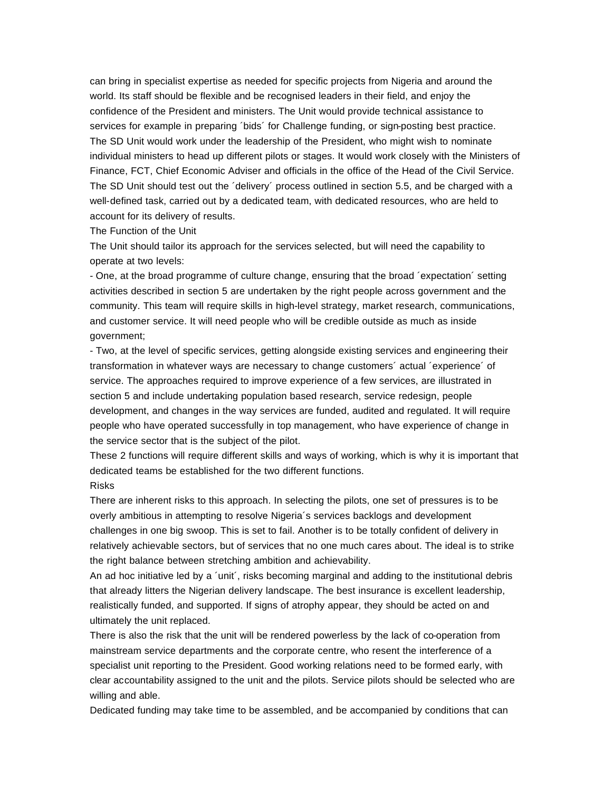can bring in specialist expertise as needed for specific projects from Nigeria and around the world. Its staff should be flexible and be recognised leaders in their field, and enjoy the confidence of the President and ministers. The Unit would provide technical assistance to services for example in preparing ´bids´ for Challenge funding, or sign-posting best practice. The SD Unit would work under the leadership of the President, who might wish to nominate individual ministers to head up different pilots or stages. It would work closely with the Ministers of Finance, FCT, Chief Economic Adviser and officials in the office of the Head of the Civil Service. The SD Unit should test out the ´delivery´ process outlined in section 5.5, and be charged with a well-defined task, carried out by a dedicated team, with dedicated resources, who are held to account for its delivery of results.

The Function of the Unit

The Unit should tailor its approach for the services selected, but will need the capability to operate at two levels:

- One, at the broad programme of culture change, ensuring that the broad ´expectation´ setting activities described in section 5 are undertaken by the right people across government and the community. This team will require skills in high-level strategy, market research, communications, and customer service. It will need people who will be credible outside as much as inside government;

- Two, at the level of specific services, getting alongside existing services and engineering their transformation in whatever ways are necessary to change customers´ actual ´experience´ of service. The approaches required to improve experience of a few services, are illustrated in section 5 and include undertaking population based research, service redesign, people development, and changes in the way services are funded, audited and regulated. It will require people who have operated successfully in top management, who have experience of change in the service sector that is the subject of the pilot.

These 2 functions will require different skills and ways of working, which is why it is important that dedicated teams be established for the two different functions.

### Risks

There are inherent risks to this approach. In selecting the pilots, one set of pressures is to be overly ambitious in attempting to resolve Nigeria´s services backlogs and development challenges in one big swoop. This is set to fail. Another is to be totally confident of delivery in relatively achievable sectors, but of services that no one much cares about. The ideal is to strike the right balance between stretching ambition and achievability.

An ad hoc initiative led by a 'unit', risks becoming marginal and adding to the institutional debris that already litters the Nigerian delivery landscape. The best insurance is excellent leadership, realistically funded, and supported. If signs of atrophy appear, they should be acted on and ultimately the unit replaced.

There is also the risk that the unit will be rendered powerless by the lack of co-operation from mainstream service departments and the corporate centre, who resent the interference of a specialist unit reporting to the President. Good working relations need to be formed early, with clear accountability assigned to the unit and the pilots. Service pilots should be selected who are willing and able.

Dedicated funding may take time to be assembled, and be accompanied by conditions that can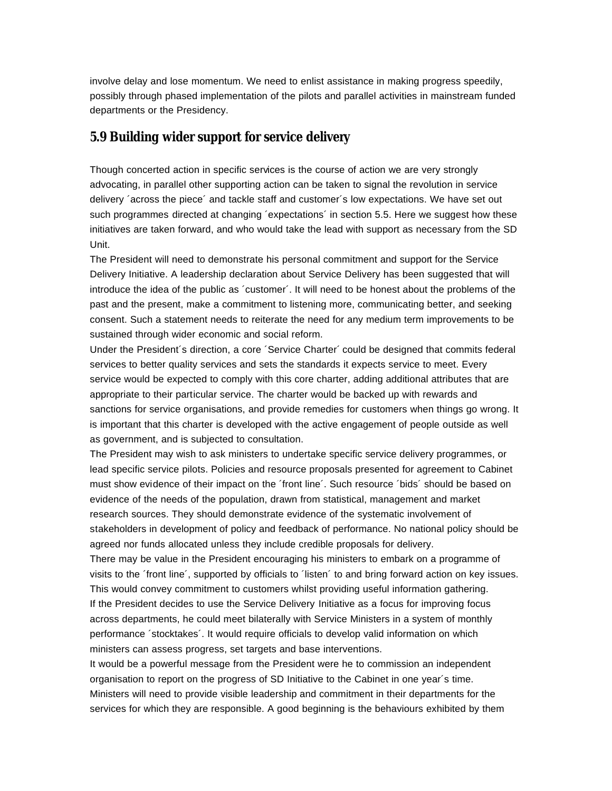involve delay and lose momentum. We need to enlist assistance in making progress speedily, possibly through phased implementation of the pilots and parallel activities in mainstream funded departments or the Presidency.

## **5.9 Building wider support for service delivery**

Though concerted action in specific services is the course of action we are very strongly advocating, in parallel other supporting action can be taken to signal the revolution in service delivery ´across the piece´ and tackle staff and customer´s low expectations. We have set out such programmes directed at changing 'expectations' in section 5.5. Here we suggest how these initiatives are taken forward, and who would take the lead with support as necessary from the SD Unit.

The President will need to demonstrate his personal commitment and support for the Service Delivery Initiative. A leadership declaration about Service Delivery has been suggested that will introduce the idea of the public as ´customer´. It will need to be honest about the problems of the past and the present, make a commitment to listening more, communicating better, and seeking consent. Such a statement needs to reiterate the need for any medium term improvements to be sustained through wider economic and social reform.

Under the President´s direction, a core ´Service Charter´ could be designed that commits federal services to better quality services and sets the standards it expects service to meet. Every service would be expected to comply with this core charter, adding additional attributes that are appropriate to their particular service. The charter would be backed up with rewards and sanctions for service organisations, and provide remedies for customers when things go wrong. It is important that this charter is developed with the active engagement of people outside as well as government, and is subjected to consultation.

The President may wish to ask ministers to undertake specific service delivery programmes, or lead specific service pilots. Policies and resource proposals presented for agreement to Cabinet must show evidence of their impact on the ´front line´. Such resource ´bids´ should be based on evidence of the needs of the population, drawn from statistical, management and market research sources. They should demonstrate evidence of the systematic involvement of stakeholders in development of policy and feedback of performance. No national policy should be agreed nor funds allocated unless they include credible proposals for delivery.

There may be value in the President encouraging his ministers to embark on a programme of visits to the ´front line´, supported by officials to ´listen´ to and bring forward action on key issues. This would convey commitment to customers whilst providing useful information gathering. If the President decides to use the Service Delivery Initiative as a focus for improving focus across departments, he could meet bilaterally with Service Ministers in a system of monthly performance ´stocktakes´. It would require officials to develop valid information on which ministers can assess progress, set targets and base interventions.

It would be a powerful message from the President were he to commission an independent organisation to report on the progress of SD Initiative to the Cabinet in one year´s time. Ministers will need to provide visible leadership and commitment in their departments for the services for which they are responsible. A good beginning is the behaviours exhibited by them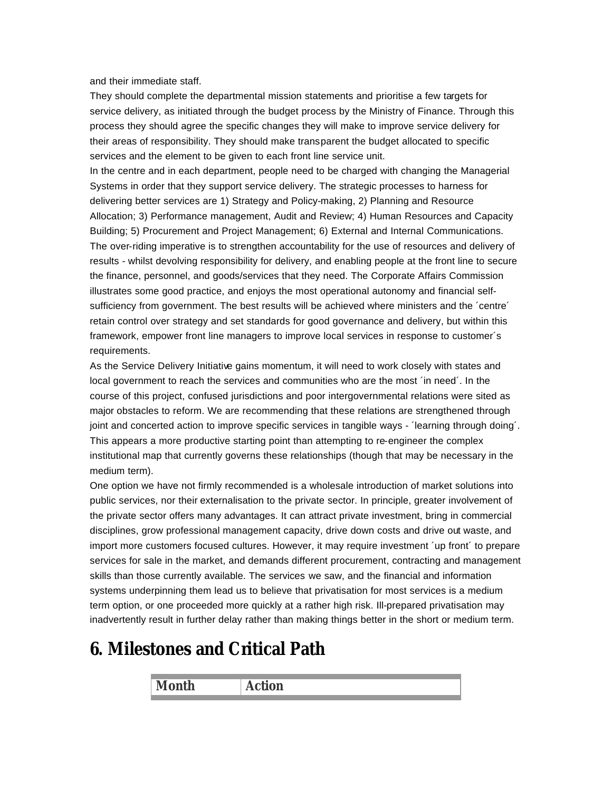and their immediate staff.

They should complete the departmental mission statements and prioritise a few targets for service delivery, as initiated through the budget process by the Ministry of Finance. Through this process they should agree the specific changes they will make to improve service delivery for their areas of responsibility. They should make transparent the budget allocated to specific services and the element to be given to each front line service unit.

In the centre and in each department, people need to be charged with changing the Managerial Systems in order that they support service delivery. The strategic processes to harness for delivering better services are 1) Strategy and Policy-making, 2) Planning and Resource Allocation; 3) Performance management, Audit and Review; 4) Human Resources and Capacity Building; 5) Procurement and Project Management; 6) External and Internal Communications. The over-riding imperative is to strengthen accountability for the use of resources and delivery of results - whilst devolving responsibility for delivery, and enabling people at the front line to secure the finance, personnel, and goods/services that they need. The Corporate Affairs Commission illustrates some good practice, and enjoys the most operational autonomy and financial selfsufficiency from government. The best results will be achieved where ministers and the 'centre' retain control over strategy and set standards for good governance and delivery, but within this framework, empower front line managers to improve local services in response to customer´s requirements.

As the Service Delivery Initiative gains momentum, it will need to work closely with states and local government to reach the services and communities who are the most 'in need'. In the course of this project, confused jurisdictions and poor intergovernmental relations were sited as major obstacles to reform. We are recommending that these relations are strengthened through joint and concerted action to improve specific services in tangible ways - 'learning through doing'. This appears a more productive starting point than attempting to re-engineer the complex institutional map that currently governs these relationships (though that may be necessary in the medium term).

One option we have not firmly recommended is a wholesale introduction of market solutions into public services, nor their externalisation to the private sector. In principle, greater involvement of the private sector offers many advantages. It can attract private investment, bring in commercial disciplines, grow professional management capacity, drive down costs and drive out waste, and import more customers focused cultures. However, it may require investment ´up front´ to prepare services for sale in the market, and demands different procurement, contracting and management skills than those currently available. The services we saw, and the financial and information systems underpinning them lead us to believe that privatisation for most services is a medium term option, or one proceeded more quickly at a rather high risk. Ill-prepared privatisation may inadvertently result in further delay rather than making things better in the short or medium term.

## **6. Milestones and Critical Path**

|     | . .           |
|-----|---------------|
| Mon | $\sim$ $\sim$ |
|     |               |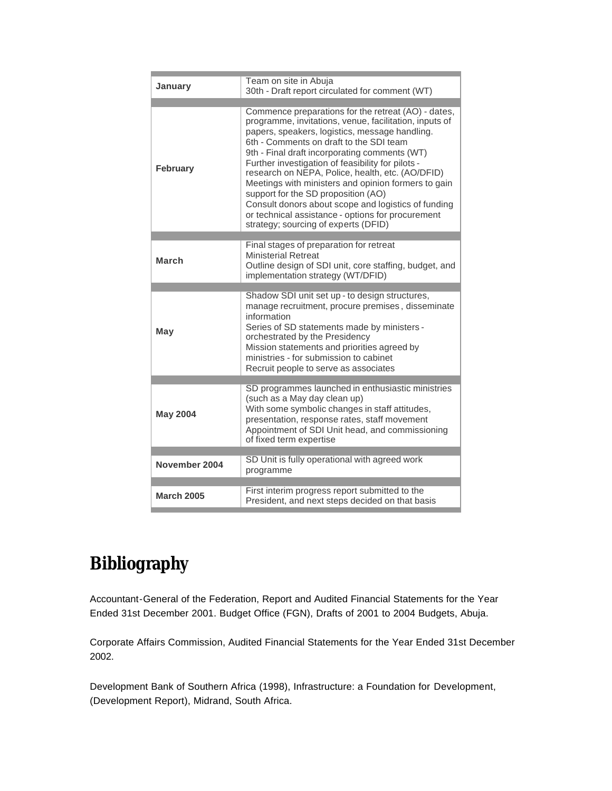| January           | Team on site in Abuja<br>30th - Draft report circulated for comment (WT)                                                                                                                                                                                                                                                                                                                                                                                                                                                                                                                                               |
|-------------------|------------------------------------------------------------------------------------------------------------------------------------------------------------------------------------------------------------------------------------------------------------------------------------------------------------------------------------------------------------------------------------------------------------------------------------------------------------------------------------------------------------------------------------------------------------------------------------------------------------------------|
| <b>February</b>   | Commence preparations for the retreat (AO) - dates,<br>programme, invitations, venue, facilitation, inputs of<br>papers, speakers, logistics, message handling.<br>6th - Comments on draft to the SDI team<br>9th - Final draft incorporating comments (WT)<br>Further investigation of feasibility for pilots -<br>research on NEPA, Police, health, etc. (AO/DFID)<br>Meetings with ministers and opinion formers to gain<br>support for the SD proposition (AO)<br>Consult donors about scope and logistics of funding<br>or technical assistance - options for procurement<br>strategy; sourcing of experts (DFID) |
|                   |                                                                                                                                                                                                                                                                                                                                                                                                                                                                                                                                                                                                                        |
| <b>March</b>      | Final stages of preparation for retreat<br><b>Ministerial Retreat</b><br>Outline design of SDI unit, core staffing, budget, and<br>implementation strategy (WT/DFID)                                                                                                                                                                                                                                                                                                                                                                                                                                                   |
|                   |                                                                                                                                                                                                                                                                                                                                                                                                                                                                                                                                                                                                                        |
| May               | Shadow SDI unit set up - to design structures,<br>manage recruitment, procure premises, disseminate<br>information<br>Series of SD statements made by ministers -<br>orchestrated by the Presidency<br>Mission statements and priorities agreed by<br>ministries - for submission to cabinet<br>Recruit people to serve as associates                                                                                                                                                                                                                                                                                  |
|                   |                                                                                                                                                                                                                                                                                                                                                                                                                                                                                                                                                                                                                        |
| <b>May 2004</b>   | SD programmes launched in enthusiastic ministries<br>(such as a May day clean up)<br>With some symbolic changes in staff attitudes,<br>presentation, response rates, staff movement<br>Appointment of SDI Unit head, and commissioning<br>of fixed term expertise                                                                                                                                                                                                                                                                                                                                                      |
|                   |                                                                                                                                                                                                                                                                                                                                                                                                                                                                                                                                                                                                                        |
| November 2004     | SD Unit is fully operational with agreed work<br>programme                                                                                                                                                                                                                                                                                                                                                                                                                                                                                                                                                             |
|                   | First interim progress report submitted to the                                                                                                                                                                                                                                                                                                                                                                                                                                                                                                                                                                         |
| <b>March 2005</b> | President, and next steps decided on that basis                                                                                                                                                                                                                                                                                                                                                                                                                                                                                                                                                                        |

## **Bibliography**

Accountant-General of the Federation, Report and Audited Financial Statements for the Year Ended 31st December 2001. Budget Office (FGN), Drafts of 2001 to 2004 Budgets, Abuja.

Corporate Affairs Commission, Audited Financial Statements for the Year Ended 31st December 2002.

Development Bank of Southern Africa (1998), Infrastructure: a Foundation for Development, (Development Report), Midrand, South Africa.